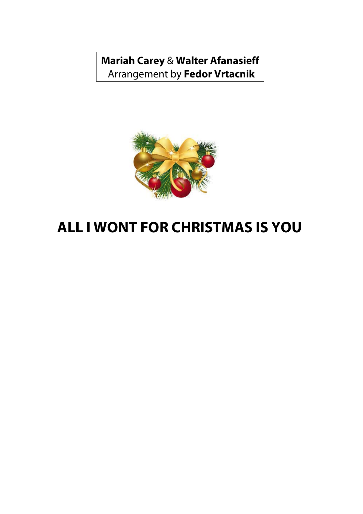**Mariah Carey** & **Walter Afanasieff**  Arrangement by **Fedor Vrtacnik**



## **ALL I WONT FOR CHRISTMAS IS YOU**